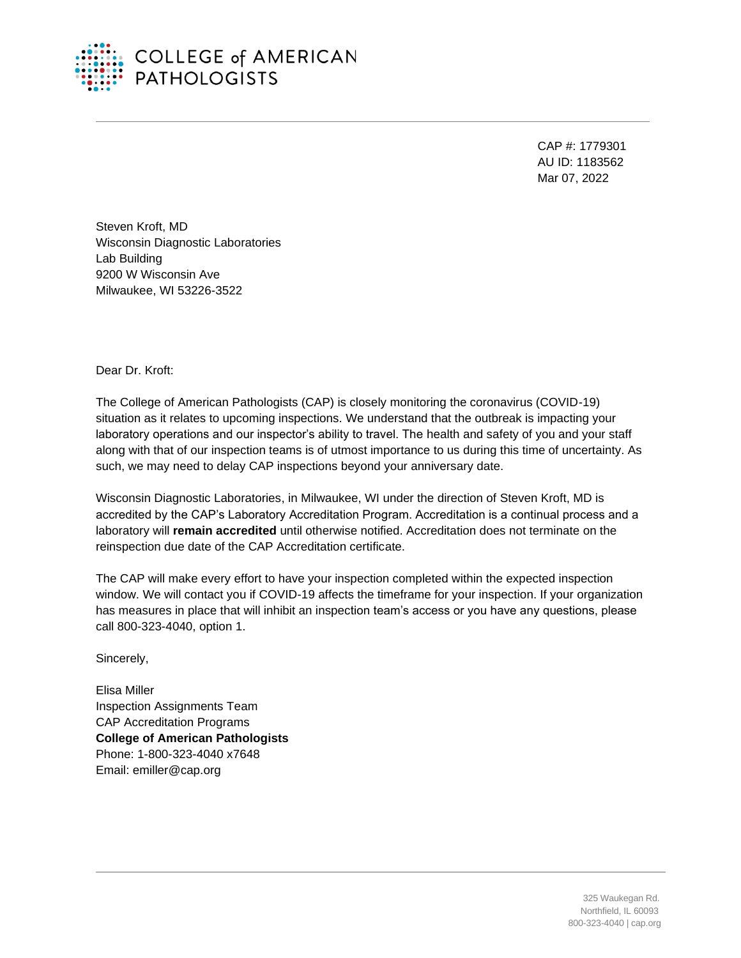

## **COLLEGE of AMERICAN PATHOLOGISTS**

CAP #: 1779301 AU ID: 1183562 Mar 07, 2022

Steven Kroft, MD Wisconsin Diagnostic Laboratories Lab Building 9200 W Wisconsin Ave Milwaukee, WI 53226-3522

Dear Dr. Kroft:

The College of American Pathologists (CAP) is closely monitoring the coronavirus (COVID-19) situation as it relates to upcoming inspections. We understand that the outbreak is impacting your laboratory operations and our inspector's ability to travel. The health and safety of you and your staff along with that of our inspection teams is of utmost importance to us during this time of uncertainty. As such, we may need to delay CAP inspections beyond your anniversary date.

Wisconsin Diagnostic Laboratories, in Milwaukee, WI under the direction of Steven Kroft, MD is accredited by the CAP's Laboratory Accreditation Program. Accreditation is a continual process and a laboratory will **remain accredited** until otherwise notified. Accreditation does not terminate on the reinspection due date of the CAP Accreditation certificate.

The CAP will make every effort to have your inspection completed within the expected inspection window. We will contact you if COVID-19 affects the timeframe for your inspection. If your organization has measures in place that will inhibit an inspection team's access or you have any questions, please call 800-323-4040, option 1.

Sincerely,

Elisa Miller Inspection Assignments Team CAP Accreditation Programs **College of American Pathologists** Phone: 1-800-323-4040 x7648 Email: emiller@cap.org